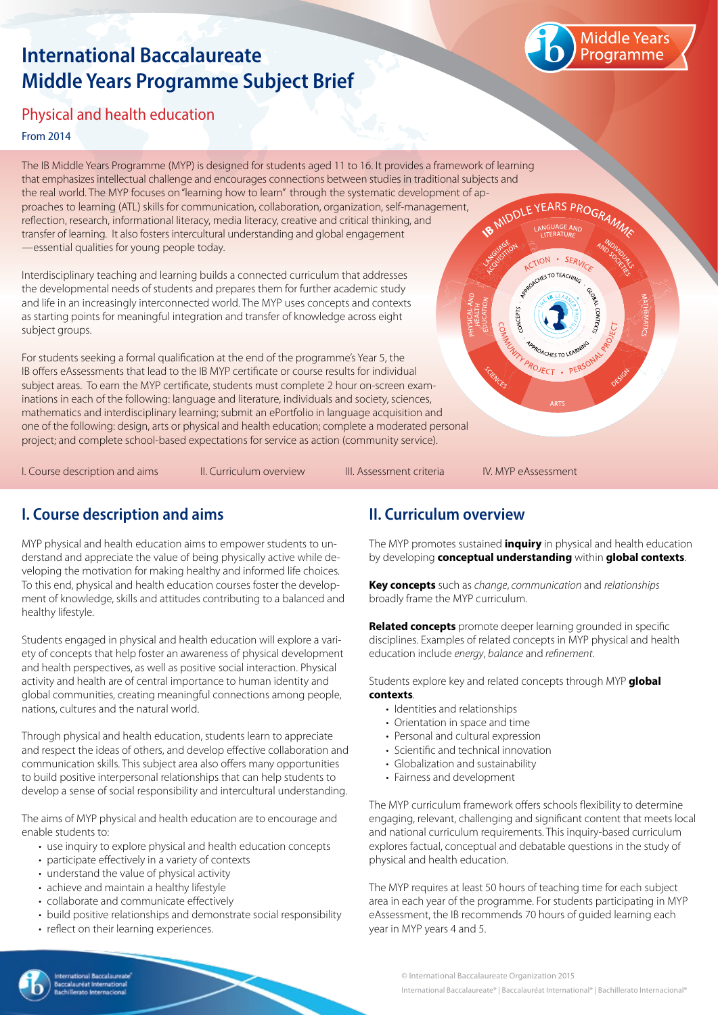# **International Baccalaureate Middle Years Programme Subject Brief**



# Physical and health education

#### From 2014

The IB Middle Years Programme (MYP) is designed for students aged 11 to 16. It provides a framework of learning that emphasizes intellectual challenge and encourages connections between studies in traditional subjects and the real world. The MYP focuses on "learning how to learn" through the systematic development of ap-<br>proaches to learning (ATL) skills for communication, collaboration, organization, self-management,<br>reflection, research, proaches to learning (ATL) skills for communication, collaboration, organization, self-management, reflection, research, informational literacy, media literacy, creative and critical thinking, and transfer of learning. It also fosters intercultural understanding and global engagement —essential qualities for young people today.

Interdisciplinary teaching and learning builds a connected curriculum that addresses the developmental needs of students and prepares them for further academic study and life in an increasingly interconnected world. The MYP uses concepts and contexts as starting points for meaningful integration and transfer of knowledge across eight subject groups.

For students seeking a formal qualification at the end of the programme's Year 5, the IB offers eAssessments that lead to the IB MYP certificate or course results for individual subject areas. To earn the MYP certificate, students must complete 2 hour on-screen examinations in each of the following: language and literature, individuals and society, sciences, mathematics and interdisciplinary learning; submit an ePortfolio in language acquisition and one of the following: design, arts or physical and health education; complete a moderated personal project; and complete school-based expectations for service as action (community service).

I. Course description and aims The Curriculum overview The III. Assessment criteria The IV. MYP eAssessment

CTION

PROJECT . PER

 $\cdot$  SFRI  $-70$  TFA $-$ 

# **I. Course description and aims**

MYP physical and health education aims to empower students to understand and appreciate the value of being physically active while developing the motivation for making healthy and informed life choices. To this end, physical and health education courses foster the development of knowledge, skills and attitudes contributing to a balanced and healthy lifestyle.

Students engaged in physical and health education will explore a variety of concepts that help foster an awareness of physical development and health perspectives, as well as positive social interaction. Physical activity and health are of central importance to human identity and global communities, creating meaningful connections among people, nations, cultures and the natural world.

Through physical and health education, students learn to appreciate and respect the ideas of others, and develop effective collaboration and communication skills. This subject area also offers many opportunities to build positive interpersonal relationships that can help students to develop a sense of social responsibility and intercultural understanding.

The aims of MYP physical and health education are to encourage and enable students to:

- use inquiry to explore physical and health education concepts
- participate effectively in a variety of contexts
- understand the value of physical activity
- achieve and maintain a healthy lifestyle
- collaborate and communicate effectively
- build positive relationships and demonstrate social responsibility
- reflect on their learning experiences.

## **II. Curriculum overview**

The MYP promotes sustained **inquiry** in physical and health education by developing **conceptual understanding** within **global contexts**.

**Key concepts** such as *change*, *communication* and *relationships* broadly frame the MYP curriculum.

**Related concepts** promote deeper learning grounded in specific disciplines. Examples of related concepts in MYP physical and health education include *energy*, *balance* and *refinement*.

Students explore key and related concepts through MYP **global contexts**.

- Identities and relationships
- Orientation in space and time
- Personal and cultural expression
- Scientific and technical innovation
- Globalization and sustainability
- Fairness and development

The MYP curriculum framework offers schools flexibility to determine engaging, relevant, challenging and significant content that meets local and national curriculum requirements. This inquiry-based curriculum explores factual, conceptual and debatable questions in the study of physical and health education.

The MYP requires at least 50 hours of teaching time for each subject area in each year of the programme. For students participating in MYP eAssessment, the IB recommends 70 hours of guided learning each year in MYP years 4 and 5.

© International Baccalaureate Organization 2015 International Baccalaureate® | Baccalauréat International® | Bachillerato Internacional®